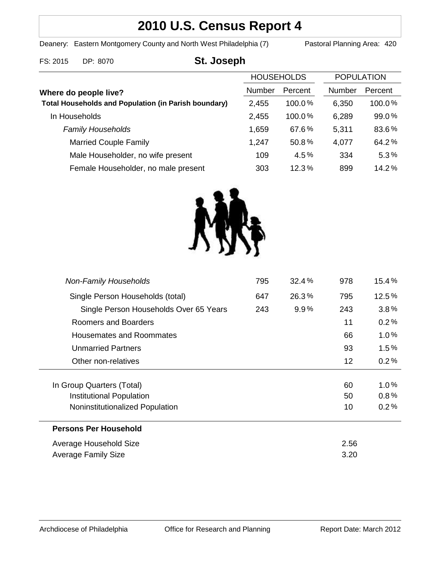# **2010 U.S. Census Report 4**

Deanery: Eastern Montgomery County and North West Philadelphia (7) Pastoral Planning Area: 420

# FS: 2015 DP: 8070 **St. Joseph**

|                                                             | <b>HOUSEHOLDS</b> |           | <b>POPULATION</b> |           |
|-------------------------------------------------------------|-------------------|-----------|-------------------|-----------|
| Where do people live?                                       | Number            | Percent   | <b>Number</b>     | Percent   |
| <b>Total Households and Population (in Parish boundary)</b> | 2,455             | $100.0\%$ | 6,350             | $100.0\%$ |
| In Households                                               | 2,455             | 100.0%    | 6,289             | 99.0%     |
| <b>Family Households</b>                                    | 1,659             | 67.6%     | 5,311             | 83.6%     |
| <b>Married Couple Family</b>                                | 1,247             | 50.8%     | 4,077             | 64.2%     |
| Male Householder, no wife present                           | 109               | 4.5%      | 334               | 5.3%      |
| Female Householder, no male present                         | 303               | 12.3%     | 899               | 14.2%     |



| <b>Non-Family Households</b>           | 795 | 32.4% | 978  | $15.4\,\%$ |
|----------------------------------------|-----|-------|------|------------|
| Single Person Households (total)       | 647 | 26.3% | 795  | 12.5%      |
| Single Person Households Over 65 Years | 243 | 9.9%  | 243  | 3.8%       |
| Roomers and Boarders                   |     |       | 11   | 0.2%       |
| Housemates and Roommates               |     |       | 66   | 1.0%       |
| <b>Unmarried Partners</b>              |     |       | 93   | $1.5\%$    |
| Other non-relatives                    |     |       | 12   | 0.2%       |
|                                        |     |       |      |            |
| In Group Quarters (Total)              |     |       | 60   | 1.0%       |
| <b>Institutional Population</b>        |     |       | 50   | 0.8%       |
| Noninstitutionalized Population        |     |       | 10   | 0.2%       |
| <b>Persons Per Household</b>           |     |       |      |            |
| Average Household Size                 |     |       | 2.56 |            |
| Average Family Size                    |     |       | 3.20 |            |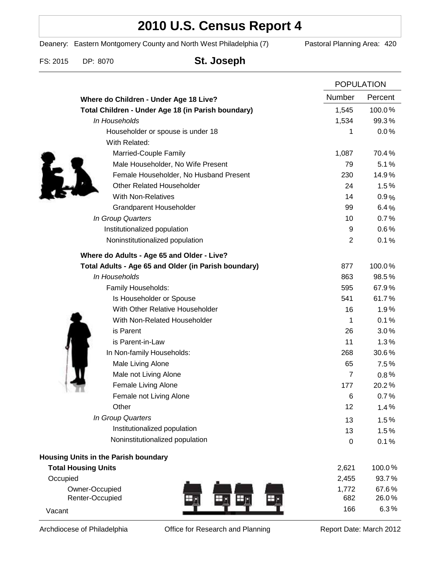# **2010 U.S. Census Report 4**

Deanery: Eastern Montgomery County and North West Philadelphia (7) Pastoral Planning Area: 420

FS: 2015 DP: 8070 **St. Joseph**

|                                                      | <b>POPULATION</b> |         |
|------------------------------------------------------|-------------------|---------|
| Where do Children - Under Age 18 Live?               | Number            | Percent |
| Total Children - Under Age 18 (in Parish boundary)   | 1,545             | 100.0%  |
| In Households                                        | 1,534             | 99.3%   |
| Householder or spouse is under 18                    | 1                 | 0.0%    |
| With Related:                                        |                   |         |
| Married-Couple Family                                | 1,087             | 70.4%   |
| Male Householder, No Wife Present                    | 79                | 5.1%    |
| Female Householder, No Husband Present               | 230               | 14.9%   |
| <b>Other Related Householder</b>                     | 24                | 1.5%    |
| <b>With Non-Relatives</b>                            | 14                | 0.9%    |
| <b>Grandparent Householder</b>                       | 99                | 6.4%    |
| In Group Quarters                                    | 10                | 0.7%    |
| Institutionalized population                         | 9                 | 0.6%    |
| Noninstitutionalized population                      | $\overline{2}$    | 0.1%    |
| Where do Adults - Age 65 and Older - Live?           |                   |         |
| Total Adults - Age 65 and Older (in Parish boundary) | 877               | 100.0%  |
| In Households                                        | 863               | 98.5%   |
| Family Households:                                   | 595               | 67.9%   |
| Is Householder or Spouse                             | 541               | 61.7%   |
| With Other Relative Householder                      | 16                | 1.9%    |
| With Non-Related Householder                         | 1                 | 0.1%    |
| is Parent                                            | 26                | 3.0%    |
| is Parent-in-Law                                     | 11                | 1.3%    |
| In Non-family Households:                            | 268               | 30.6%   |
| Male Living Alone                                    | 65                | 7.5%    |
| Male not Living Alone                                | 7                 | $0.8\%$ |
| Female Living Alone                                  | 177               | 20.2%   |
| Female not Living Alone                              | 6                 | 0.7%    |
| Other                                                | 12                | 1.4%    |
| In Group Quarters                                    | 13                | 1.5%    |
| Institutionalized population                         | 13                | 1.5%    |
| Noninstitutionalized population                      | $\boldsymbol{0}$  | 0.1%    |
| <b>Housing Units in the Parish boundary</b>          |                   |         |
| <b>Total Housing Units</b>                           | 2,621             | 100.0%  |
| Occupied                                             | 2,455             | 93.7%   |
| Owner-Occupied                                       | 1,772             | 67.6%   |
| Renter-Occupied                                      | 682               | 26.0%   |
| Vacant                                               | 166               | 6.3%    |

Archdiocese of Philadelphia **Office for Research and Planning** Report Date: March 2012